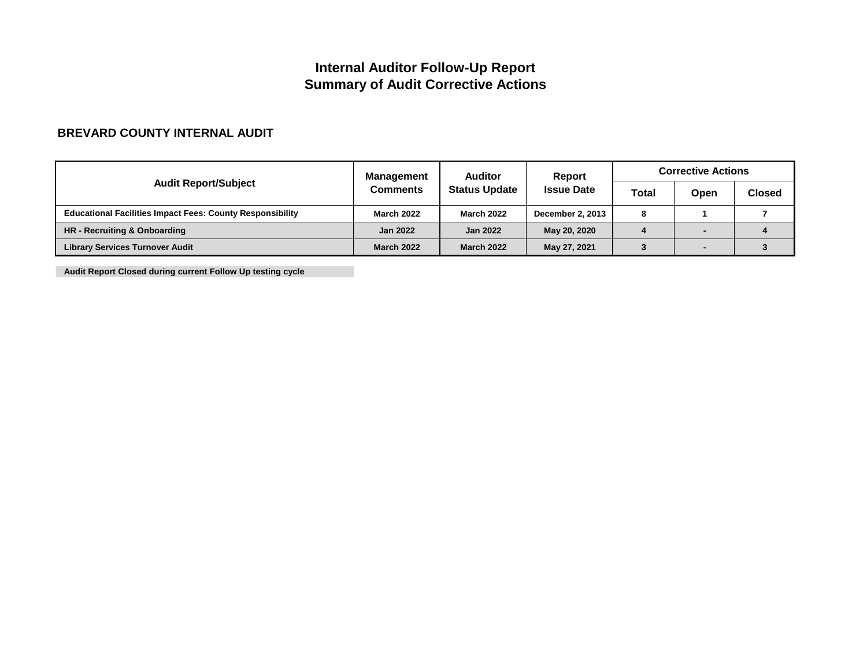## **Internal Auditor Follow-Up Report Summary of Audit Corrective Actions**

### **BREVARD COUNTY INTERNAL AUDIT**

|                                                                  | <b>Management</b> | <b>Auditor</b>       | <b>Report</b><br><b>Issue Date</b> | <b>Corrective Actions</b> |      |        |
|------------------------------------------------------------------|-------------------|----------------------|------------------------------------|---------------------------|------|--------|
| <b>Audit Report/Subject</b>                                      | <b>Comments</b>   | <b>Status Update</b> |                                    | <b>Total</b>              | Open | Closed |
| <b>Educational Facilities Impact Fees: County Responsibility</b> | <b>March 2022</b> | <b>March 2022</b>    | <b>December 2, 2013</b>            | 8                         |      |        |
| HR - Recruiting & Onboarding                                     | <b>Jan 2022</b>   | <b>Jan 2022</b>      | May 20, 2020                       |                           |      |        |
| <b>Library Services Turnover Audit</b>                           | <b>March 2022</b> | <b>March 2022</b>    | May 27, 2021                       |                           |      |        |

**Audit Report Closed during current Follow Up testing cycle**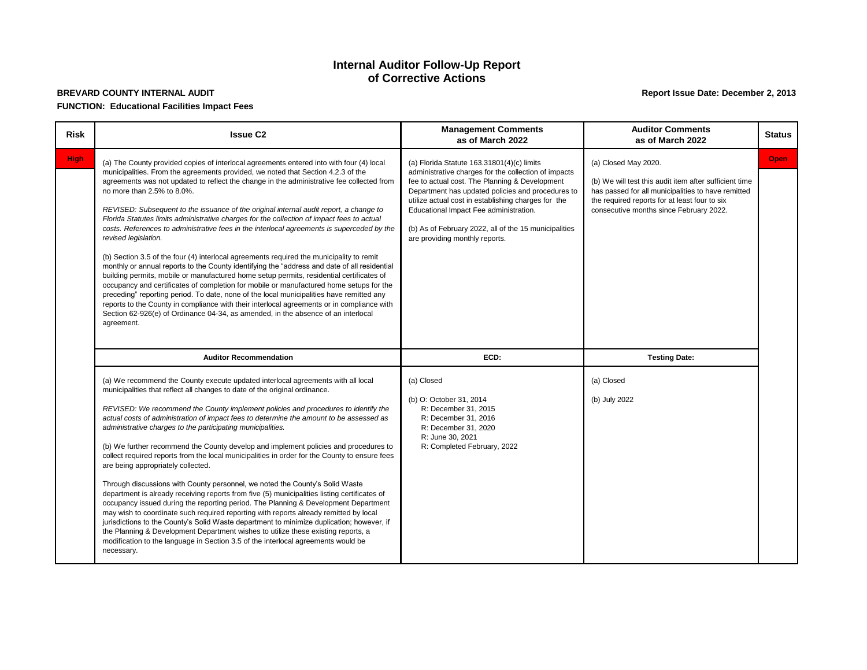### **BREVARD COUNTY INTERNAL AUDIT FUNCTION: Educational Facilities Impact Fees**

### **Internal Auditor Follow-Up Report of Corrective Actions**

#### **Report Issue Date: December 2, 2013**

| <b>Risk</b> | <b>Issue C2</b>                                                                                                                                                                                                                                                                                                                                                                                                                                                                                                                                                                                                                                                                                                                                                                                                                                                                                                                                                                                                                                                                                                                                                                                                                                                                                       | <b>Management Comments</b><br>as of March 2022                                                                                                                                                                                                                                                                                                                                                          | <b>Auditor Comments</b><br>as of March 2022                                                                                                                                                                                      | <b>Status</b> |
|-------------|-------------------------------------------------------------------------------------------------------------------------------------------------------------------------------------------------------------------------------------------------------------------------------------------------------------------------------------------------------------------------------------------------------------------------------------------------------------------------------------------------------------------------------------------------------------------------------------------------------------------------------------------------------------------------------------------------------------------------------------------------------------------------------------------------------------------------------------------------------------------------------------------------------------------------------------------------------------------------------------------------------------------------------------------------------------------------------------------------------------------------------------------------------------------------------------------------------------------------------------------------------------------------------------------------------|---------------------------------------------------------------------------------------------------------------------------------------------------------------------------------------------------------------------------------------------------------------------------------------------------------------------------------------------------------------------------------------------------------|----------------------------------------------------------------------------------------------------------------------------------------------------------------------------------------------------------------------------------|---------------|
| <b>High</b> | (a) The County provided copies of interlocal agreements entered into with four (4) local<br>municipalities. From the agreements provided, we noted that Section 4.2.3 of the<br>agreements was not updated to reflect the change in the administrative fee collected from<br>no more than 2.5% to 8.0%.<br>REVISED: Subsequent to the issuance of the original internal audit report, a change to<br>Florida Statutes limits administrative charges for the collection of impact fees to actual<br>costs. References to administrative fees in the interlocal agreements is superceded by the<br>revised legislation.<br>(b) Section 3.5 of the four (4) interlocal agreements required the municipality to remit<br>monthly or annual reports to the County identifying the "address and date of all residential<br>building permits, mobile or manufactured home setup permits, residential certificates of<br>occupancy and certificates of completion for mobile or manufactured home setups for the<br>preceding" reporting period. To date, none of the local municipalities have remitted any<br>reports to the County in compliance with their interlocal agreements or in compliance with<br>Section 62-926(e) of Ordinance 04-34, as amended, in the absence of an interlocal<br>agreement. | (a) Florida Statute $163.31801(4)(c)$ limits<br>administrative charges for the collection of impacts<br>fee to actual cost. The Planning & Development<br>Department has updated policies and procedures to<br>utilize actual cost in establishing charges for the<br>Educational Impact Fee administration.<br>(b) As of February 2022, all of the 15 municipalities<br>are providing monthly reports. | (a) Closed May 2020.<br>(b) We will test this audit item after sufficient time<br>has passed for all municipalities to have remitted<br>the required reports for at least four to six<br>consecutive months since February 2022. | <b>Open</b>   |
|             | <b>Auditor Recommendation</b>                                                                                                                                                                                                                                                                                                                                                                                                                                                                                                                                                                                                                                                                                                                                                                                                                                                                                                                                                                                                                                                                                                                                                                                                                                                                         | ECD:                                                                                                                                                                                                                                                                                                                                                                                                    | <b>Testing Date:</b>                                                                                                                                                                                                             |               |
|             | (a) We recommend the County execute updated interlocal agreements with all local<br>municipalities that reflect all changes to date of the original ordinance.<br>REVISED: We recommend the County implement policies and procedures to identify the<br>actual costs of administration of impact fees to determine the amount to be assessed as<br>administrative charges to the participating municipalities.<br>(b) We further recommend the County develop and implement policies and procedures to<br>collect required reports from the local municipalities in order for the County to ensure fees<br>are being appropriately collected.<br>Through discussions with County personnel, we noted the County's Solid Waste<br>department is already receiving reports from five (5) municipalities listing certificates of<br>occupancy issued during the reporting period. The Planning & Development Department<br>may wish to coordinate such required reporting with reports already remitted by local<br>jurisdictions to the County's Solid Waste department to minimize duplication; however, if<br>the Planning & Development Department wishes to utilize these existing reports, a<br>modification to the language in Section 3.5 of the interlocal agreements would be<br>necessary.    | (a) Closed<br>(b) O: October 31, 2014<br>R: December 31, 2015<br>R: December 31, 2016<br>R: December 31, 2020<br>R: June 30, 2021<br>R: Completed February, 2022                                                                                                                                                                                                                                        | (a) Closed<br>(b) July 2022                                                                                                                                                                                                      |               |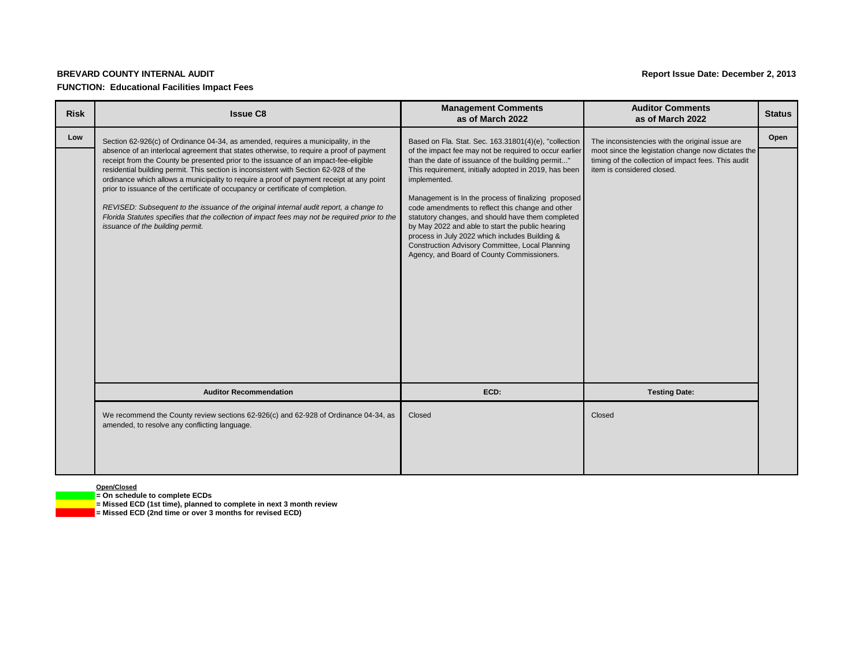#### **BREVARD COUNTY INTERNAL AUDIT**

#### **FUNCTION: Educational Facilities Impact Fees**

**Open/Closed**

**= On schedule to complete ECDs**

**= Missed ECD (1st time), planned to complete in next 3 month review**

**= Missed ECD (2nd time or over 3 months for revised ECD)**

| <b>Risk</b> | <b>Issue C8</b>                                                                                                                                                                                                                                                                                                                                                                                                                                                                                                                                                                                                                                                                                                                                                             | <b>Management Comments</b><br>as of March 2022                                                                                                                                                                                                                                                                                                                                                                                                                                                                                                                                                                       | <b>Auditor Comments</b><br>as of March 2022                                                                                                                                                | <b>Status</b> |
|-------------|-----------------------------------------------------------------------------------------------------------------------------------------------------------------------------------------------------------------------------------------------------------------------------------------------------------------------------------------------------------------------------------------------------------------------------------------------------------------------------------------------------------------------------------------------------------------------------------------------------------------------------------------------------------------------------------------------------------------------------------------------------------------------------|----------------------------------------------------------------------------------------------------------------------------------------------------------------------------------------------------------------------------------------------------------------------------------------------------------------------------------------------------------------------------------------------------------------------------------------------------------------------------------------------------------------------------------------------------------------------------------------------------------------------|--------------------------------------------------------------------------------------------------------------------------------------------------------------------------------------------|---------------|
| Low         | Section 62-926(c) of Ordinance 04-34, as amended, requires a municipality, in the<br>absence of an interlocal agreement that states otherwise, to require a proof of payment<br>receipt from the County be presented prior to the issuance of an impact-fee-eligible<br>residential building permit. This section is inconsistent with Section 62-928 of the<br>ordinance which allows a municipality to require a proof of payment receipt at any point<br>prior to issuance of the certificate of occupancy or certificate of completion.<br>REVISED: Subsequent to the issuance of the original internal audit report, a change to<br>Florida Statutes specifies that the collection of impact fees may not be required prior to the<br>issuance of the building permit. | Based on Fla. Stat. Sec. 163.31801(4)(e), "collection<br>of the impact fee may not be required to occur earlier<br>than the date of issuance of the building permit"<br>This requirement, initially adopted in 2019, has been<br>implemented.<br>Management is In the process of finalizing proposed<br>code amendments to reflect this change and other<br>statutory changes, and should have them completed<br>by May 2022 and able to start the public hearing<br>process in July 2022 which includes Building &<br>Construction Advisory Committee, Local Planning<br>Agency, and Board of County Commissioners. | The inconsistencies with the original issue are<br>moot since the legistation change now dictates the<br>timing of the collection of impact fees. This audit<br>item is considered closed. | Open          |
|             | <b>Auditor Recommendation</b>                                                                                                                                                                                                                                                                                                                                                                                                                                                                                                                                                                                                                                                                                                                                               | ECD:                                                                                                                                                                                                                                                                                                                                                                                                                                                                                                                                                                                                                 | <b>Testing Date:</b>                                                                                                                                                                       |               |
|             | We recommend the County review sections 62-926(c) and 62-928 of Ordinance 04-34, as<br>amended, to resolve any conflicting language.                                                                                                                                                                                                                                                                                                                                                                                                                                                                                                                                                                                                                                        | Closed                                                                                                                                                                                                                                                                                                                                                                                                                                                                                                                                                                                                               | Closed                                                                                                                                                                                     |               |

#### **Report Issue Date: December 2, 2013**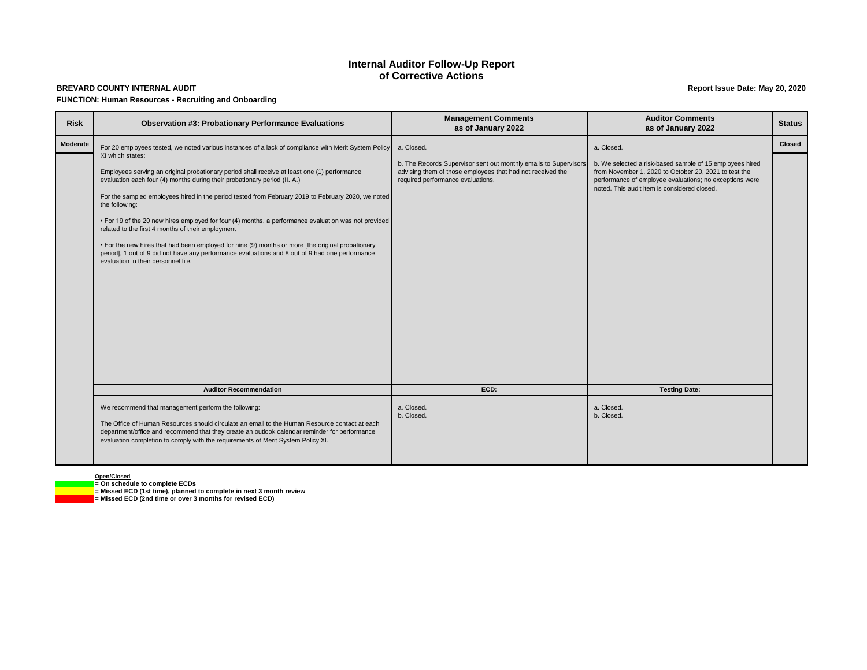# **BREVARD COUNTY INTERNAL AUDIT**

#### **FUNCTION: Human Resources - Recruiting and Onboarding**

**Open/Closed**

**= On schedule to complete ECDs**

**= Missed ECD (1st time), planned to complete in next 3 month review**

**= Missed ECD (2nd time or over 3 months for revised ECD)**

#### **Report Issue Date: May 20, 2020**

### **Internal Auditor Follow-Up Report of Corrective Actions**

|    | <b>Auditor Comments</b><br>as of January 2022                                                                                                                                                                                | <b>Status</b> |
|----|------------------------------------------------------------------------------------------------------------------------------------------------------------------------------------------------------------------------------|---------------|
|    | a. Closed.                                                                                                                                                                                                                   | <b>Closed</b> |
| rs | b. We selected a risk-based sample of 15 employees hired<br>from November 1, 2020 to October 20, 2021 to test the<br>performance of employee evaluations; no exceptions were<br>noted. This audit item is considered closed. |               |
|    |                                                                                                                                                                                                                              |               |
|    |                                                                                                                                                                                                                              |               |
|    |                                                                                                                                                                                                                              |               |
|    |                                                                                                                                                                                                                              |               |
|    |                                                                                                                                                                                                                              |               |
|    | <b>Testing Date:</b>                                                                                                                                                                                                         |               |
|    | a. Closed.<br>b. Closed.                                                                                                                                                                                                     |               |
|    |                                                                                                                                                                                                                              |               |

| <b>Risk</b>     | <b>Observation #3: Probationary Performance Evaluations</b>                                                                                                                                                                                                                                                                                                                                                                                                                                                                                                                                                                                                                                                                                                                                                                               | <b>Management Comments</b><br>as of January 2022                                                                                                                                  | <b>Auditor Comments</b><br>as of January 2022                                                                                                                                                                                              | <b>Status</b> |
|-----------------|-------------------------------------------------------------------------------------------------------------------------------------------------------------------------------------------------------------------------------------------------------------------------------------------------------------------------------------------------------------------------------------------------------------------------------------------------------------------------------------------------------------------------------------------------------------------------------------------------------------------------------------------------------------------------------------------------------------------------------------------------------------------------------------------------------------------------------------------|-----------------------------------------------------------------------------------------------------------------------------------------------------------------------------------|--------------------------------------------------------------------------------------------------------------------------------------------------------------------------------------------------------------------------------------------|---------------|
| <b>Moderate</b> | For 20 employees tested, we noted various instances of a lack of compliance with Merit System Policy<br>XI which states:<br>Employees serving an original probationary period shall receive at least one (1) performance<br>evaluation each four (4) months during their probationary period (II. A.)<br>For the sampled employees hired in the period tested from February 2019 to February 2020, we noted<br>the following:<br>• For 19 of the 20 new hires employed for four (4) months, a performance evaluation was not provided<br>related to the first 4 months of their employment<br>• For the new hires that had been employed for nine (9) months or more [the original probationary<br>period], 1 out of 9 did not have any performance evaluations and 8 out of 9 had one performance<br>evaluation in their personnel file. | a. Closed.<br>b. The Records Supervisor sent out monthly emails to Supervisors<br>advising them of those employees that had not received the<br>required performance evaluations. | a. Closed.<br>b. We selected a risk-based sample of 15 employees hired<br>from November 1, 2020 to October 20, 2021 to test the<br>performance of employee evaluations; no exceptions were<br>noted. This audit item is considered closed. | <b>Closed</b> |
|                 | <b>Auditor Recommendation</b>                                                                                                                                                                                                                                                                                                                                                                                                                                                                                                                                                                                                                                                                                                                                                                                                             | ECD:                                                                                                                                                                              | <b>Testing Date:</b>                                                                                                                                                                                                                       |               |
|                 | We recommend that management perform the following:<br>The Office of Human Resources should circulate an email to the Human Resource contact at each<br>department/office and recommend that they create an outlook calendar reminder for performance<br>evaluation completion to comply with the requirements of Merit System Policy XI.                                                                                                                                                                                                                                                                                                                                                                                                                                                                                                 | a. Closed.<br>b. Closed.                                                                                                                                                          | a. Closed.<br>b. Closed.                                                                                                                                                                                                                   |               |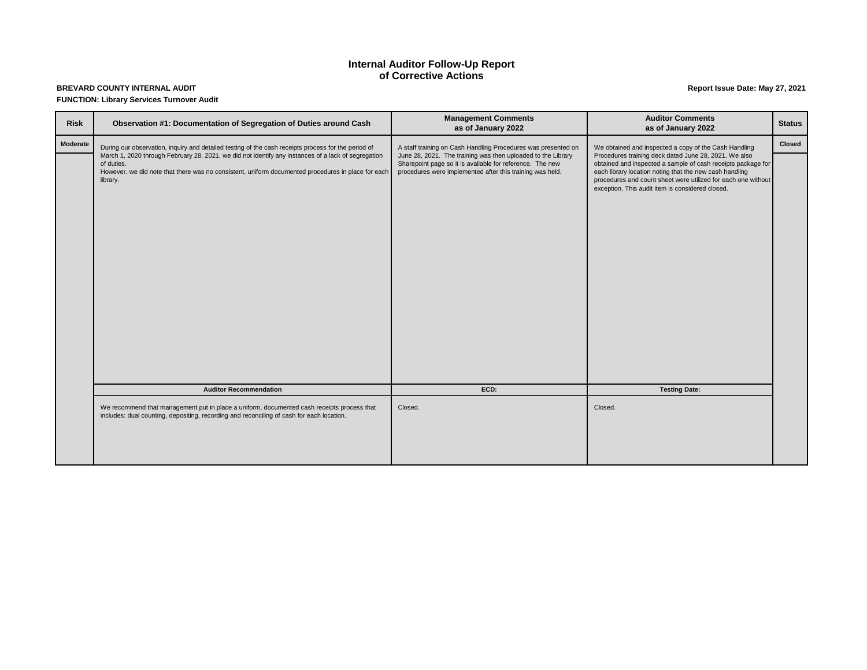#### **BREVARD COUNTY INTERNAL AUDIT FUNCTION: Library Services Turnover Audit**

### **Internal Auditor Follow-Up Report of Corrective Actions**

### **Report Issue Date: May 27, 2021**

| <b>Risk</b>     | Observation #1: Documentation of Segregation of Duties around Cash                                                                                                                                                                  | <b>Management Comments</b><br>as of January 2022                                                                                                                                       | <b>Auditor Comments</b><br>as of January 2022                                                                                                                                                                                                                                                         | <b>Status</b> |
|-----------------|-------------------------------------------------------------------------------------------------------------------------------------------------------------------------------------------------------------------------------------|----------------------------------------------------------------------------------------------------------------------------------------------------------------------------------------|-------------------------------------------------------------------------------------------------------------------------------------------------------------------------------------------------------------------------------------------------------------------------------------------------------|---------------|
| <b>Moderate</b> | During our observation, inquiry and detailed testing of the cash receipts process for the period of                                                                                                                                 | A staff training on Cash Handling Procedures was presented on                                                                                                                          | We obtained and inspected a copy of the Cash Handling                                                                                                                                                                                                                                                 |               |
|                 | March 1, 2020 through February 28, 2021, we did not identify any instances of a lack of segregation<br>of duties.<br>However, we did note that there was no consistent, uniform documented procedures in place for each<br>library. | June 28, 2021. The training was then uploaded to the Library<br>Sharepoint page so it is available for reference. The new<br>procedures were implemented after this training was held. | Procedures training deck dated June 28, 2021. We also<br>obtained and inspected a sample of cash receipts package for<br>each library location noting that the new cash handling<br>procedures and count sheet were utilized for each one without<br>exception. This audit item is considered closed. |               |
|                 | <b>Auditor Recommendation</b>                                                                                                                                                                                                       | ECD:                                                                                                                                                                                   | <b>Testing Date:</b>                                                                                                                                                                                                                                                                                  |               |
|                 | We recommend that management put in place a uniform, documented cash receipts process that<br>includes: dual counting, depositing, recording and reconciling of cash for each location.                                             | Closed.                                                                                                                                                                                | Closed.                                                                                                                                                                                                                                                                                               |               |
|                 |                                                                                                                                                                                                                                     |                                                                                                                                                                                        |                                                                                                                                                                                                                                                                                                       |               |

| <b>Auditor Comments</b><br>as of January 2022                                                                                                                                                                                                                                                         | <b>Status</b> |
|-------------------------------------------------------------------------------------------------------------------------------------------------------------------------------------------------------------------------------------------------------------------------------------------------------|---------------|
| We obtained and inspected a copy of the Cash Handling                                                                                                                                                                                                                                                 | <b>Closed</b> |
| Procedures training deck dated June 28, 2021. We also<br>obtained and inspected a sample of cash receipts package for<br>each library location noting that the new cash handling<br>procedures and count sheet were utilized for each one without<br>exception. This audit item is considered closed. |               |
| <b>Testing Date:</b>                                                                                                                                                                                                                                                                                  |               |
| Closed.                                                                                                                                                                                                                                                                                               |               |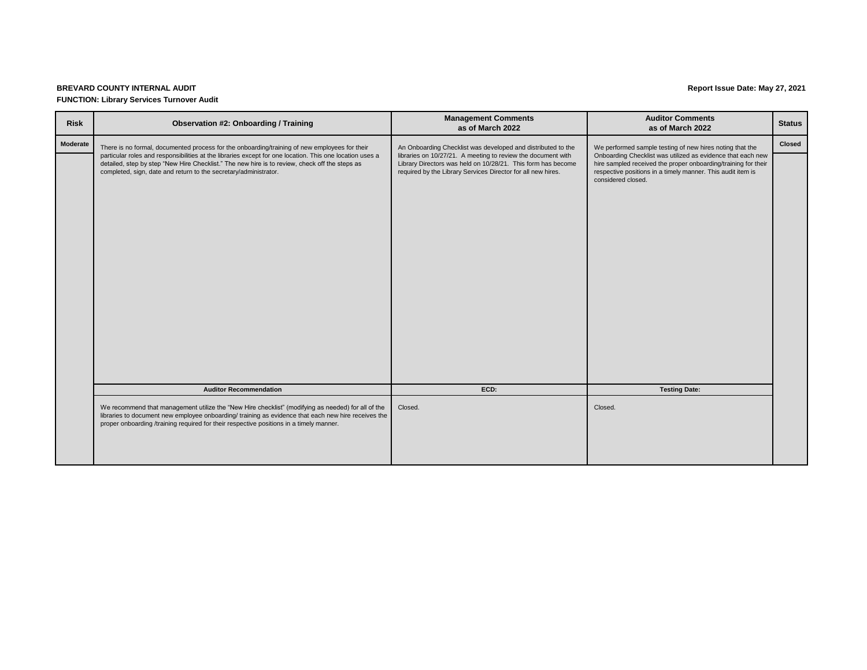#### **BREVARD COUNTY INTERNAL AUDIT FUNCTION: Library Services Turnover Audit**

### **Report Issue Date: May 27, 2021**

| <b>Auditor Comments</b><br>as of March 2022                                                                                                                                                                        | <b>Status</b> |
|--------------------------------------------------------------------------------------------------------------------------------------------------------------------------------------------------------------------|---------------|
| We performed sample testing of new hires noting that the                                                                                                                                                           | <b>Closed</b> |
| Onboarding Checklist was utilized as evidence that each new<br>hire sampled received the proper onboarding/training for their<br>respective positions in a timely manner. This audit item is<br>considered closed. |               |
| <b>Testing Date:</b>                                                                                                                                                                                               |               |
| Closed.                                                                                                                                                                                                            |               |

| <b>Risk</b>     | <b>Observation #2: Onboarding / Training</b>                                                                                                                                                                                                                                                                                                                                    | <b>Management Comments</b><br>as of March 2022                                                                                                                                                                                                               | <b>Auditor Comments</b><br>as of March 2022                                                                                                                                                                                                                                    | <b>Status</b> |
|-----------------|---------------------------------------------------------------------------------------------------------------------------------------------------------------------------------------------------------------------------------------------------------------------------------------------------------------------------------------------------------------------------------|--------------------------------------------------------------------------------------------------------------------------------------------------------------------------------------------------------------------------------------------------------------|--------------------------------------------------------------------------------------------------------------------------------------------------------------------------------------------------------------------------------------------------------------------------------|---------------|
| <b>Moderate</b> | There is no formal, documented process for the onboarding/training of new employees for their<br>particular roles and responsibilities at the libraries except for one location. This one location uses a<br>detailed, step by step "New Hire Checklist." The new hire is to review, check off the steps as<br>completed, sign, date and return to the secretary/administrator. | An Onboarding Checklist was developed and distributed to the<br>libraries on 10/27/21. A meeting to review the document with<br>Library Directors was held on 10/28/21. This form has become<br>required by the Library Services Director for all new hires. | We performed sample testing of new hires noting that the<br>Onboarding Checklist was utilized as evidence that each new<br>hire sampled received the proper onboarding/training for their<br>respective positions in a timely manner. This audit item is<br>considered closed. | <b>Closed</b> |
|                 | <b>Auditor Recommendation</b>                                                                                                                                                                                                                                                                                                                                                   | ECD:                                                                                                                                                                                                                                                         | <b>Testing Date:</b>                                                                                                                                                                                                                                                           |               |
|                 | We recommend that management utilize the "New Hire checklist" (modifying as needed) for all of the<br>libraries to document new employee onboarding/ training as evidence that each new hire receives the<br>proper onboarding /training required for their respective positions in a timely manner.                                                                            | Closed.                                                                                                                                                                                                                                                      | Closed.                                                                                                                                                                                                                                                                        |               |